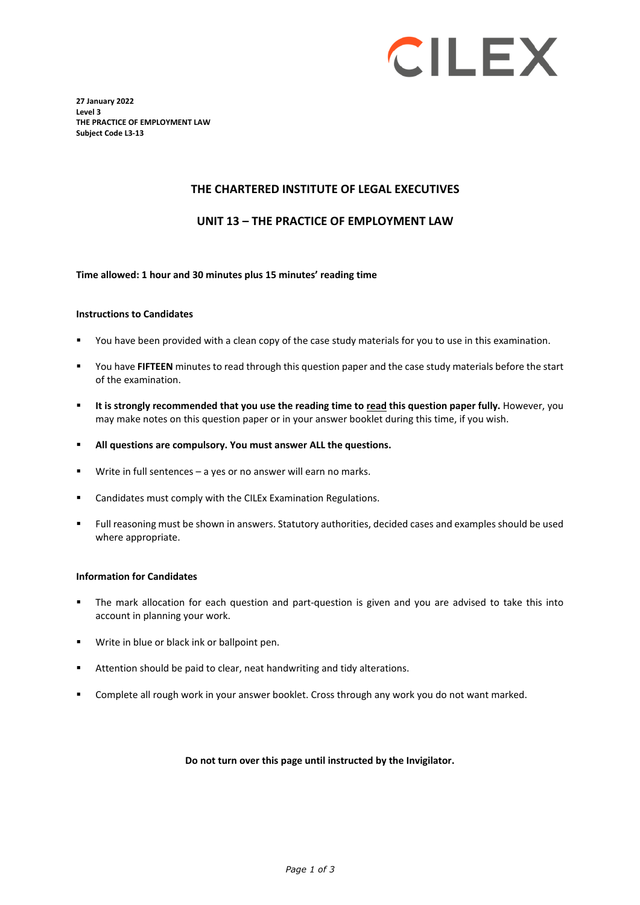

**27 January 2022 Level 3 THE PRACTICE OF EMPLOYMENT LAW Subject Code L3-13**

### **THE CHARTERED INSTITUTE OF LEGAL EXECUTIVES**

### **UNIT 13 – THE PRACTICE OF EMPLOYMENT LAW**

#### **Time allowed: 1 hour and 30 minutes plus 15 minutes' reading time**

#### **Instructions to Candidates**

- You have been provided with a clean copy of the case study materials for you to use in this examination.
- You have **FIFTEEN** minutes to read through this question paper and the case study materials before the start of the examination.
- **It is strongly recommended that you use the reading time to read this question paper fully.** However, you may make notes on this question paper or in your answer booklet during this time, if you wish.
- **All questions are compulsory. You must answer ALL the questions.**
- Write in full sentences a yes or no answer will earn no marks.
- **E** Candidates must comply with the CILEx Examination Regulations.
- Full reasoning must be shown in answers. Statutory authorities, decided cases and examples should be used where appropriate.

#### **Information for Candidates**

- The mark allocation for each question and part-question is given and you are advised to take this into account in planning your work.
- Write in blue or black ink or ballpoint pen.
- **Attention should be paid to clear, neat handwriting and tidy alterations.**
- Complete all rough work in your answer booklet. Cross through any work you do not want marked.

#### **Do not turn over this page until instructed by the Invigilator.**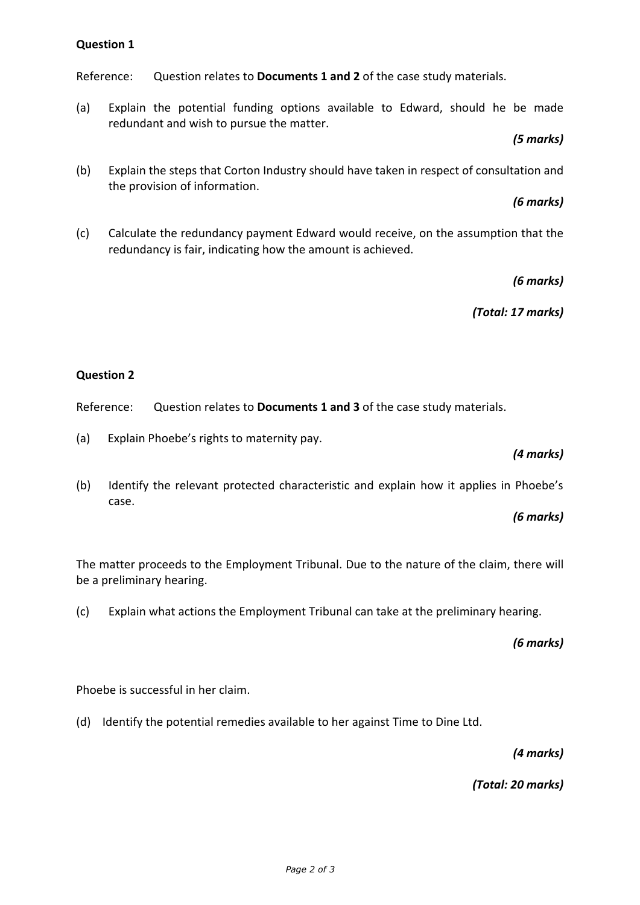#### *Page 2 of 3*

**Question 1**

Reference: Question relates to **Documents 1 and 2** of the case study materials.

(a) Explain the potential funding options available to Edward, should he be made redundant and wish to pursue the matter.

### *(5 marks)*

(b) Explain the steps that Corton Industry should have taken in respect of consultation and the provision of information.

## *(6 marks)*

(c) Calculate the redundancy payment Edward would receive, on the assumption that the redundancy is fair, indicating how the amount is achieved.

*(6 marks)*

*(Total: 17 marks)*

## **Question 2**

Reference: Question relates to **Documents 1 and 3** of the case study materials.

- (a) Explain Phoebe's rights to maternity pay.
- (b) Identify the relevant protected characteristic and explain how it applies in Phoebe's case.

*(6 marks)*

The matter proceeds to the Employment Tribunal. Due to the nature of the claim, there will be a preliminary hearing.

(c) Explain what actions the Employment Tribunal can take at the preliminary hearing.

*(6 marks)*

Phoebe is successful in her claim.

(d) Identify the potential remedies available to her against Time to Dine Ltd.

*(4 marks)*

*(Total: 20 marks)*

*(4 marks)*